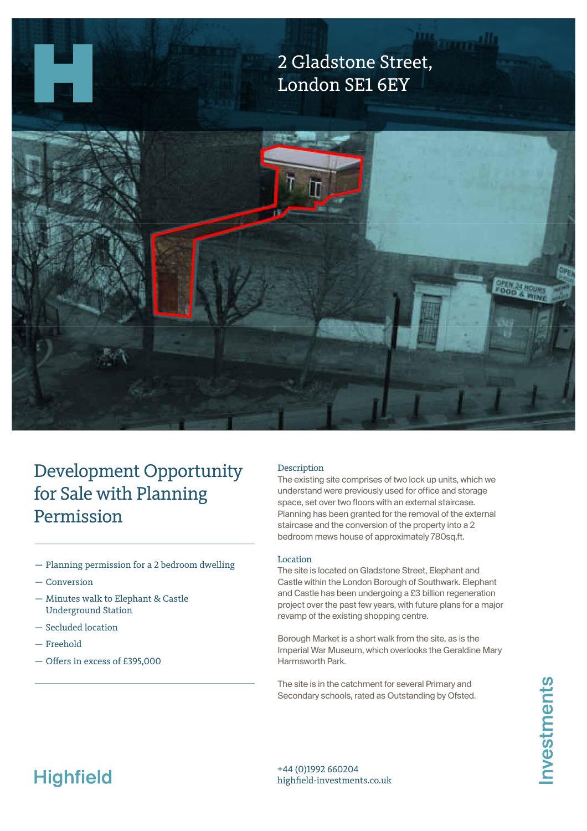

## Development Opportunity for Sale with Planning Permission

- Planning permission for a 2 bedroom dwelling
- Conversion
- Minutes walk to Elephant & Castle Underground Station
- Secluded location
- Freehold
- Ofers in excess of £395,000

### Description

The exising site comprises of two lock up units, which we understand were previously used for office and storage space, set over two floors with an external staircase. Planning has been granted for the removal of the external staircase and the conversion of the property into a 2 bedroom mews house of approximately 780sq.ft.

### Location

The site is located on Gladstone Street, Elephant and Castle within the London Borough of Southwark. Elephant and Castle has been undergoing a £3 billion regeneration project over the past few years, with future plans for a major revamp of the exising shopping centre.

Borough Market is a short walk from the site, as is the Imperial War Museum, which overlooks the Geraldine Mary Harmsworth Park.

The site is in the catchment for several Primary and Secondary schools, rated as Outstanding by Ofsted.

# **Highfield**

+44 (0)1992 660204 highfeld-investments.co.uk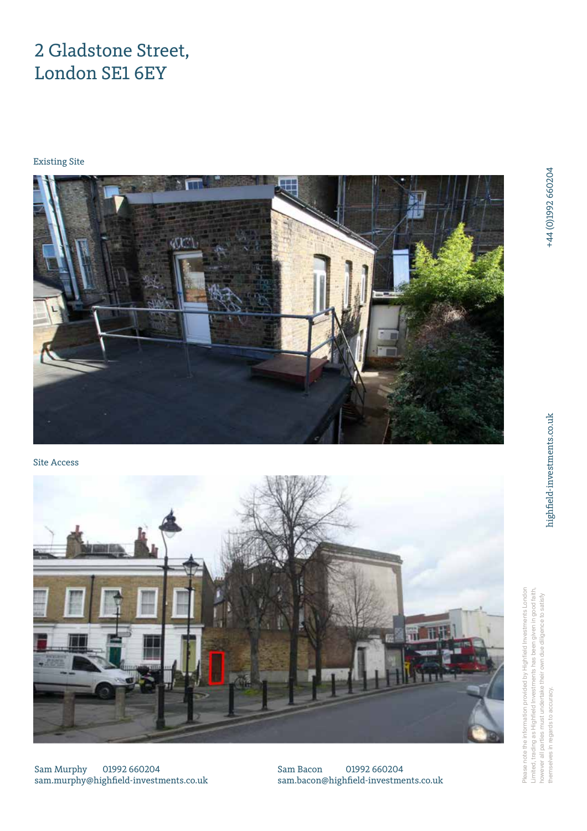## 2 Gladstone Street, London SE1 6EY

## Existing Site



Site Access



sments London stments has been given in good faith, Please note the information provided by Highfield Investments London Limited, trading as Highfield Investments has been given in good faith, however all parties must undertake their own due diligence to satisfy st undertake their own due diligence to satisfy Please note the information provided by Highfield Inve themselves in regards to accuracy. themselves in regards to accuracy. Limited, trading as Highfield Inve however all parties mu

Sam Murphy 01992 660204 sam.murphy@highfeld-investments.co.uk

Sam Bacon 01992 660204 sam.bacon@highfeld-investments.co.uk